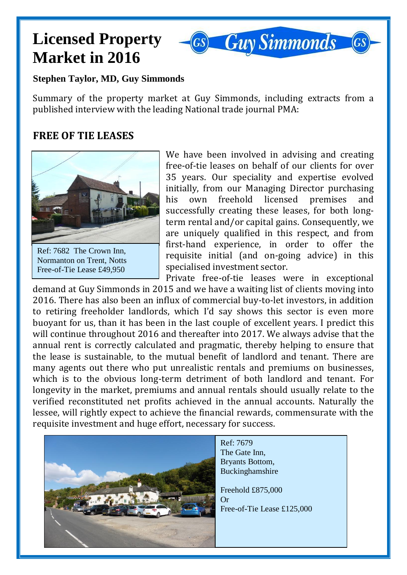# **Licensed Property Market in 2016**



#### **Stephen Taylor, MD, Guy Simmonds**

Summary of the property market at Guy Simmonds, including extracts from a published interview with the leading National trade journal PMA:

### **FREE OF TIE LEASES**



Ref: 7682 The Crown Inn, Normanton on Trent, Notts Free-of-Tie Lease £49,950

We have been involved in advising and creating free-of-tie leases on behalf of our clients for over 35 years. Our speciality and expertise evolved initially, from our Managing Director purchasing his own freehold licensed premises and successfully creating these leases, for both longterm rental and/or capital gains. Consequently, we are uniquely qualified in this respect, and from first-hand experience, in order to offer the requisite initial (and on-going advice) in this specialised investment sector.

Private free-of-tie leases were in exceptional demand at Guy Simmonds in 2015 and we have a waiting list of clients moving into 2016. There has also been an influx of commercial buy-to-let investors, in addition to retiring freeholder landlords, which I'd say shows this sector is even more buoyant for us, than it has been in the last couple of excellent years. I predict this will continue throughout 2016 and thereafter into 2017. We always advise that the annual rent is correctly calculated and pragmatic, thereby helping to ensure that the lease is sustainable, to the mutual benefit of landlord and tenant. There are many agents out there who put unrealistic rentals and premiums on businesses, which is to the obvious long-term detriment of both landlord and tenant. For longevity in the market, premiums and annual rentals should usually relate to the verified reconstituted net profits achieved in the annual accounts. Naturally the lessee, will rightly expect to achieve the financial rewards, commensurate with the requisite investment and huge effort, necessary for success.

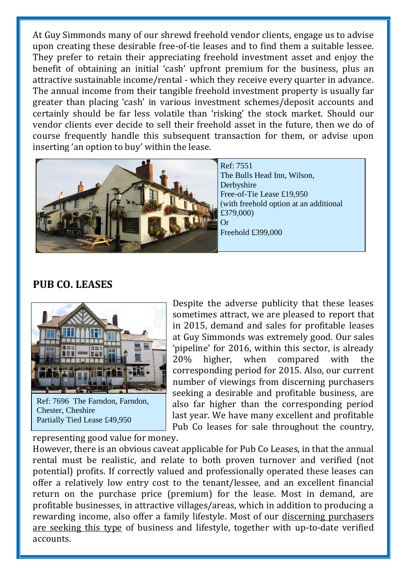At Guy Simmonds many of our shrewd freehold vendor clients, engage us to advise upon creating these desirable free-of-tie leases and to find them a suitable lessee. They prefer to retain their appreciating freehold investment asset and enjoy the benefit of obtaining an initial 'cash' upfront premium for the business, plus an attractive sustainable income/rental - which they receive every quarter in advance. The annual income from their tangible freehold investment property is usually far greater than placing 'cash' in various investment schemes/deposit accounts and certainly should be far less volatile than 'risking' the stock market. Should our vendor clients ever decide to sell their freehold asset in the future, then we do of course frequently handle this subsequent transaction for them, or advise upon inserting 'an option to buy' within the lease.



#### **PUB CO. LEASES**



Ref: 7696 The Farndon, Farndon, Chester, Cheshire Partially Tied Lease £49,950

Despite the adverse publicity that these leases sometimes attract, we are pleased to report that in 2015, demand and sales for profitable leases at Guy Simmonds was extremely good. Our sales 'pipeline' for 2016, within this sector, is already 20% higher, when compared with the corresponding period for 2015. Also, our current number of viewings from discerning purchasers seeking a desirable and profitable business, are also far higher than the corresponding period last year. We have many excellent and profitable Pub Co leases for sale throughout the country,

representing good value for money.

However, there is an obvious caveat applicable for Pub Co Leases, in that the annual rental must be realistic, and relate to both proven turnover and verified (not potential) profits. If correctly valued and professionally operated these leases can offer a relatively low entry cost to the tenant/lessee, and an excellent financial return on the purchase price (premium) for the lease. Most in demand, are profitable businesses, in attractive villages/areas, which in addition to producing a rewarding income, also offer a family lifestyle. Most of our discerning purchasers are seeking this type of business and lifestyle, together with up-to-date verified accounts.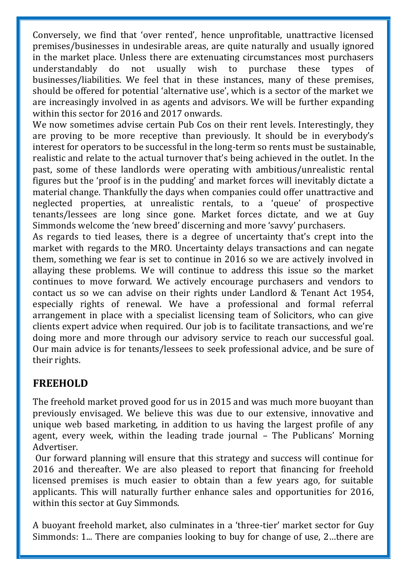Conversely, we find that 'over rented', hence unprofitable, unattractive licensed premises/businesses in undesirable areas, are quite naturally and usually ignored in the market place. Unless there are extenuating circumstances most purchasers understandably do not usually wish to purchase these types of businesses/liabilities. We feel that in these instances, many of these premises, should be offered for potential 'alternative use', which is a sector of the market we are increasingly involved in as agents and advisors. We will be further expanding within this sector for 2016 and 2017 onwards.

We now sometimes advise certain Pub Cos on their rent levels. Interestingly, they are proving to be more receptive than previously. It should be in everybody's interest for operators to be successful in the long-term so rents must be sustainable, realistic and relate to the actual turnover that's being achieved in the outlet. In the past, some of these landlords were operating with ambitious/unrealistic rental figures but the 'proof is in the pudding' and market forces will inevitably dictate a material change. Thankfully the days when companies could offer unattractive and neglected properties, at unrealistic rentals, to a 'queue' of prospective tenants/lessees are long since gone. Market forces dictate, and we at Guy Simmonds welcome the 'new breed' discerning and more 'savvy' purchasers.

As regards to tied leases, there is a degree of uncertainty that's crept into the market with regards to the MRO. Uncertainty delays transactions and can negate them, something we fear is set to continue in 2016 so we are actively involved in allaying these problems. We will continue to address this issue so the market continues to move forward. We actively encourage purchasers and vendors to contact us so we can advise on their rights under Landlord & Tenant Act 1954, especially rights of renewal. We have a professional and formal referral arrangement in place with a specialist licensing team of Solicitors, who can give clients expert advice when required. Our job is to facilitate transactions, and we're doing more and more through our advisory service to reach our successful goal. Our main advice is for tenants/lessees to seek professional advice, and be sure of their rights.

## **FREEHOLD**

The freehold market proved good for us in 2015 and was much more buoyant than previously envisaged. We believe this was due to our extensive, innovative and unique web based marketing, in addition to us having the largest profile of any agent, every week, within the leading trade journal – The Publicans' Morning Advertiser.

Our forward planning will ensure that this strategy and success will continue for 2016 and thereafter. We are also pleased to report that financing for freehold licensed premises is much easier to obtain than a few years ago, for suitable applicants. This will naturally further enhance sales and opportunities for 2016, within this sector at Guy Simmonds.

A buoyant freehold market, also culminates in a 'three-tier' market sector for Guy Simmonds: 1... There are companies looking to buy for change of use, 2…there are